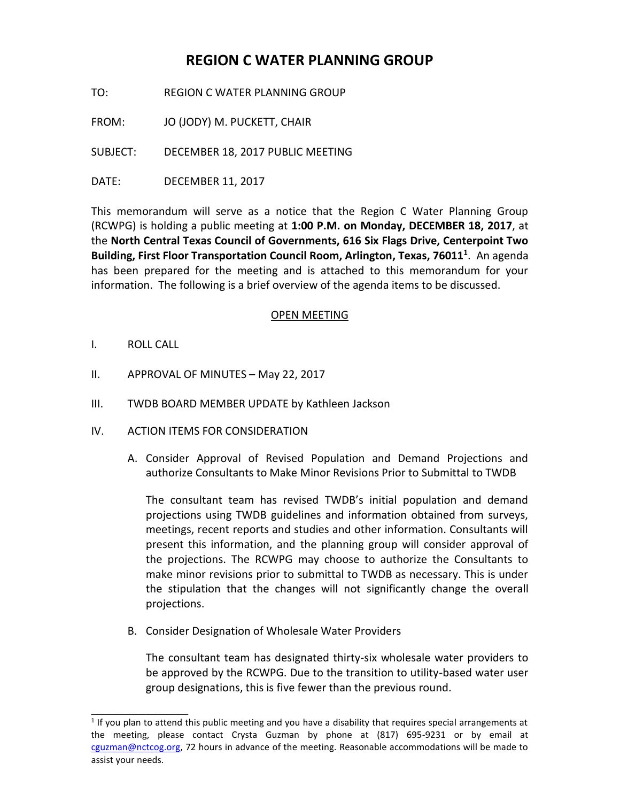# **REGION C WATER PLANNING GROUP**

TO: REGION C WATER PLANNING GROUP

FROM: JO (JODY) M. PUCKETT, CHAIR

SUBJECT: DECEMBER 18, 2017 PUBLIC MEETING

DATE: DECEMBER 11, 2017

This memorandum will serve as a notice that the Region C Water Planning Group (RCWPG) is holding a public meeting at **1:00 P.M. on Monday, DECEMBER 18, 2017**, at the **North Central Texas Council of Governments, 616 Six Flags Drive, Centerpoint Two Building, First Floor Transportation Council Room, Arlington, Texas, 76011<sup>1</sup>** . An agenda has been prepared for the meeting and is attached to this memorandum for your information. The following is a brief overview of the agenda items to be discussed.

#### OPEN MEETING

I. ROLL CALL

\_\_\_\_\_\_\_\_\_\_\_\_\_\_\_\_

- II. APPROVAL OF MINUTES May 22, 2017
- III. TWDB BOARD MEMBER UPDATE by Kathleen Jackson
- IV. ACTION ITEMS FOR CONSIDERATION
	- A. Consider Approval of Revised Population and Demand Projections and authorize Consultants to Make Minor Revisions Prior to Submittal to TWDB

The consultant team has revised TWDB's initial population and demand projections using TWDB guidelines and information obtained from surveys, meetings, recent reports and studies and other information. Consultants will present this information, and the planning group will consider approval of the projections. The RCWPG may choose to authorize the Consultants to make minor revisions prior to submittal to TWDB as necessary. This is under the stipulation that the changes will not significantly change the overall projections.

B. Consider Designation of Wholesale Water Providers

The consultant team has designated thirty-six wholesale water providers to be approved by the RCWPG. Due to the transition to utility-based water user group designations, this is five fewer than the previous round.

 $<sup>1</sup>$  If you plan to attend this public meeting and you have a disability that requires special arrangements at</sup> the meeting, please contact Crysta Guzman by phone at (817) 695-9231 or by email at [cguzman@nctcog.org,](mailto:cguzman@nctcog.org) 72 hours in advance of the meeting. Reasonable accommodations will be made to assist your needs.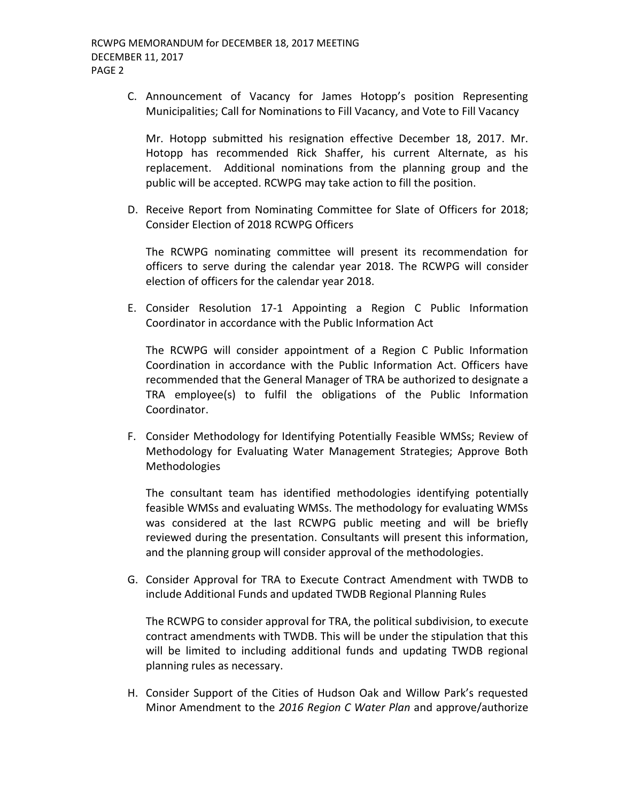C. Announcement of Vacancy for James Hotopp's position Representing Municipalities; Call for Nominations to Fill Vacancy, and Vote to Fill Vacancy

Mr. Hotopp submitted his resignation effective December 18, 2017. Mr. Hotopp has recommended Rick Shaffer, his current Alternate, as his replacement. Additional nominations from the planning group and the public will be accepted. RCWPG may take action to fill the position.

D. Receive Report from Nominating Committee for Slate of Officers for 2018; Consider Election of 2018 RCWPG Officers

The RCWPG nominating committee will present its recommendation for officers to serve during the calendar year 2018. The RCWPG will consider election of officers for the calendar year 2018.

E. Consider Resolution 17-1 Appointing a Region C Public Information Coordinator in accordance with the Public Information Act

The RCWPG will consider appointment of a Region C Public Information Coordination in accordance with the Public Information Act. Officers have recommended that the General Manager of TRA be authorized to designate a TRA employee(s) to fulfil the obligations of the Public Information Coordinator.

F. Consider Methodology for Identifying Potentially Feasible WMSs; Review of Methodology for Evaluating Water Management Strategies; Approve Both Methodologies

The consultant team has identified methodologies identifying potentially feasible WMSs and evaluating WMSs. The methodology for evaluating WMSs was considered at the last RCWPG public meeting and will be briefly reviewed during the presentation. Consultants will present this information, and the planning group will consider approval of the methodologies.

G. Consider Approval for TRA to Execute Contract Amendment with TWDB to include Additional Funds and updated TWDB Regional Planning Rules

The RCWPG to consider approval for TRA, the political subdivision, to execute contract amendments with TWDB. This will be under the stipulation that this will be limited to including additional funds and updating TWDB regional planning rules as necessary.

H. Consider Support of the Cities of Hudson Oak and Willow Park's requested Minor Amendment to the *2016 Region C Water Plan* and approve/authorize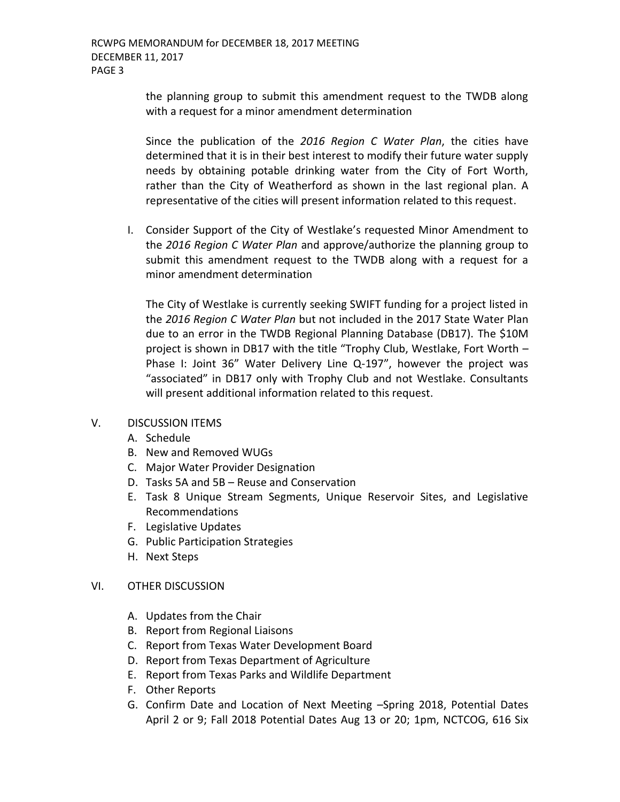the planning group to submit this amendment request to the TWDB along with a request for a minor amendment determination

Since the publication of the *2016 Region C Water Plan*, the cities have determined that it is in their best interest to modify their future water supply needs by obtaining potable drinking water from the City of Fort Worth, rather than the City of Weatherford as shown in the last regional plan. A representative of the cities will present information related to this request.

I. Consider Support of the City of Westlake's requested Minor Amendment to the *2016 Region C Water Plan* and approve/authorize the planning group to submit this amendment request to the TWDB along with a request for a minor amendment determination

The City of Westlake is currently seeking SWIFT funding for a project listed in the *2016 Region C Water Plan* but not included in the 2017 State Water Plan due to an error in the TWDB Regional Planning Database (DB17). The [\\$10M](https://2017.texasstatewaterplan.org/project/1129)  [project](https://2017.texasstatewaterplan.org/project/1129) is shown in DB17 with the title "Trophy Club, Westlake, Fort Worth – Phase I: Joint 36" Water Delivery Line Q-197", however the project was "associated" in DB17 only with Trophy Club and not Westlake. Consultants will present additional information related to this request.

## V. DISCUSSION ITEMS

- A. Schedule
- B. New and Removed WUGs
- C. Major Water Provider Designation
- D. Tasks 5A and 5B Reuse and Conservation
- E. Task 8 Unique Stream Segments, Unique Reservoir Sites, and Legislative Recommendations
- F. Legislative Updates
- G. Public Participation Strategies
- H. Next Steps

## VI. OTHER DISCUSSION

- A. Updates from the Chair
- B. Report from Regional Liaisons
- C. Report from Texas Water Development Board
- D. Report from Texas Department of Agriculture
- E. Report from Texas Parks and Wildlife Department
- F. Other Reports
- G. Confirm Date and Location of Next Meeting –Spring 2018, Potential Dates April 2 or 9; Fall 2018 Potential Dates Aug 13 or 20; 1pm, NCTCOG, 616 Six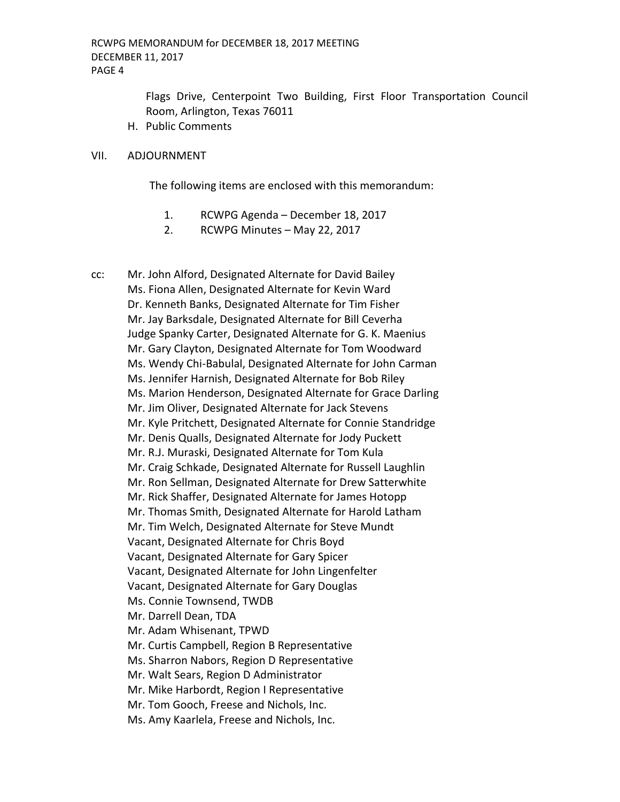Flags Drive, Centerpoint Two Building, First Floor Transportation Council Room, Arlington, Texas 76011

H. Public Comments

#### VII. ADJOURNMENT

The following items are enclosed with this memorandum:

- 1. RCWPG Agenda December 18, 2017
- 2. RCWPG Minutes May 22, 2017

cc: Mr. John Alford, Designated Alternate for David Bailey Ms. Fiona Allen, Designated Alternate for Kevin Ward Dr. Kenneth Banks, Designated Alternate for Tim Fisher Mr. Jay Barksdale, Designated Alternate for Bill Ceverha Judge Spanky Carter, Designated Alternate for G. K. Maenius Mr. Gary Clayton, Designated Alternate for Tom Woodward Ms. Wendy Chi-Babulal, Designated Alternate for John Carman Ms. Jennifer Harnish, Designated Alternate for Bob Riley Ms. Marion Henderson, Designated Alternate for Grace Darling Mr. Jim Oliver, Designated Alternate for Jack Stevens Mr. Kyle Pritchett, Designated Alternate for Connie Standridge Mr. Denis Qualls, Designated Alternate for Jody Puckett Mr. R.J. Muraski, Designated Alternate for Tom Kula Mr. Craig Schkade, Designated Alternate for Russell Laughlin Mr. Ron Sellman, Designated Alternate for Drew Satterwhite Mr. Rick Shaffer, Designated Alternate for James Hotopp Mr. Thomas Smith, Designated Alternate for Harold Latham Mr. Tim Welch, Designated Alternate for Steve Mundt Vacant, Designated Alternate for Chris Boyd Vacant, Designated Alternate for Gary Spicer Vacant, Designated Alternate for John Lingenfelter Vacant, Designated Alternate for Gary Douglas Ms. Connie Townsend, TWDB Mr. Darrell Dean, TDA Mr. Adam Whisenant, TPWD Mr. Curtis Campbell, Region B Representative Ms. Sharron Nabors, Region D Representative Mr. Walt Sears, Region D Administrator Mr. Mike Harbordt, Region I Representative Mr. Tom Gooch, Freese and Nichols, Inc. Ms. Amy Kaarlela, Freese and Nichols, Inc.